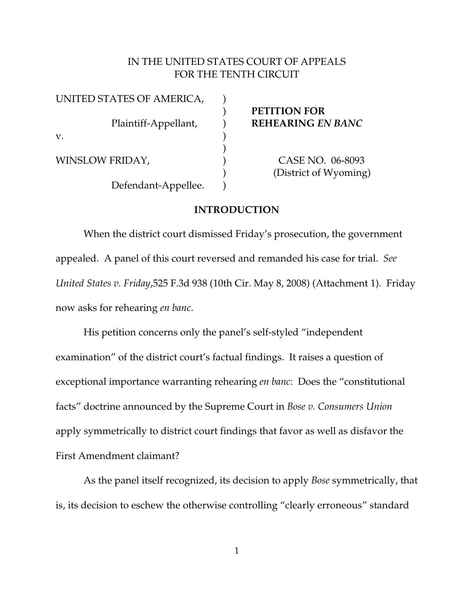# IN THE UNITED STATES COURT OF APPEALS FOR THE TENTH CIRCUIT

| UNITED STATES OF AMERICA, |  |
|---------------------------|--|
| Plaintiff-Appellant,      |  |
| v.                        |  |
| WINSLOW FRIDAY,           |  |
| Defendant-Appellee.       |  |

) **PETITION FOR** Plaintiff-Appellant, ) **REHEARING** *EN BANC*

> CASE NO. 06-8093 ) (District of Wyoming)

## **INTRODUCTION**

)

When the district court dismissed Friday's prosecution, the government appealed. A panel of this court reversed and remanded his case for trial. *See United States v. Friday*,525 F.3d 938 (10th Cir. May 8, 2008) (Attachment 1). Friday now asks for rehearing *en banc*.

His petition concerns only the panel's self-styled "independent examination" of the district court's factual findings. It raises a question of exceptional importance warranting rehearing *en banc*: Does the "constitutional facts" doctrine announced by the Supreme Court in *Bose v. Consumers Union* apply symmetrically to district court findings that favor as well as disfavor the First Amendment claimant?

As the panel itself recognized, its decision to apply *Bose* symmetrically, that is, its decision to eschew the otherwise controlling "clearly erroneous" standard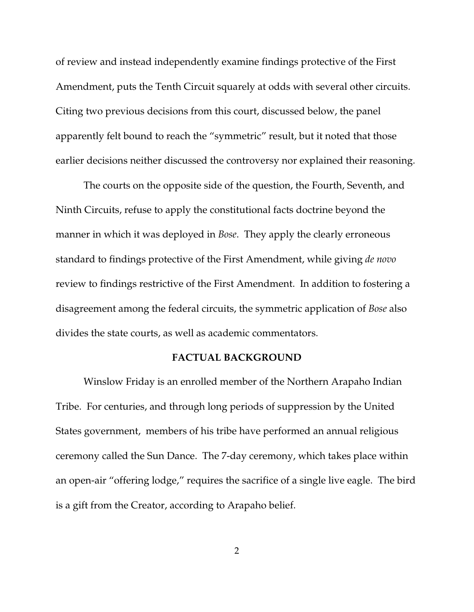of review and instead independently examine findings protective of the First Amendment, puts the Tenth Circuit squarely at odds with several other circuits. Citing two previous decisions from this court, discussed below, the panel apparently felt bound to reach the "symmetric" result, but it noted that those earlier decisions neither discussed the controversy nor explained their reasoning.

The courts on the opposite side of the question, the Fourth, Seventh, and Ninth Circuits, refuse to apply the constitutional facts doctrine beyond the manner in which it was deployed in *Bose*. They apply the clearly erroneous standard to findings protective of the First Amendment, while giving *de novo* review to findings restrictive of the First Amendment. In addition to fostering a disagreement among the federal circuits, the symmetric application of *Bose* also divides the state courts, as well as academic commentators.

## **FACTUAL BACKGROUND**

Winslow Friday is an enrolled member of the Northern Arapaho Indian Tribe. For centuries, and through long periods of suppression by the United States government, members of his tribe have performed an annual religious ceremony called the Sun Dance. The 7-day ceremony, which takes place within an open-air "offering lodge," requires the sacrifice of a single live eagle. The bird is a gift from the Creator, according to Arapaho belief.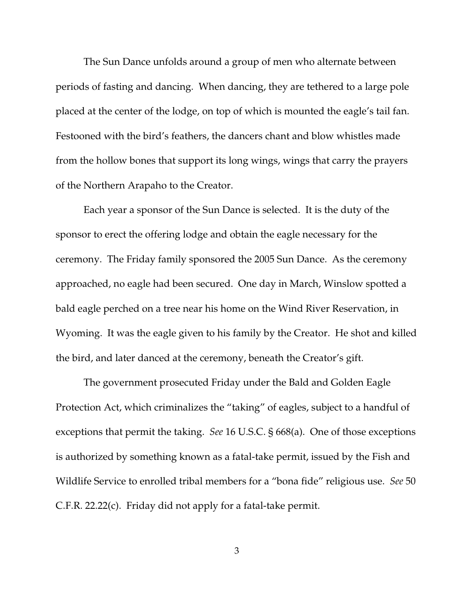The Sun Dance unfolds around a group of men who alternate between periods of fasting and dancing. When dancing, they are tethered to a large pole placed at the center of the lodge, on top of which is mounted the eagle's tail fan. Festooned with the bird's feathers, the dancers chant and blow whistles made from the hollow bones that support its long wings, wings that carry the prayers of the Northern Arapaho to the Creator.

Each year a sponsor of the Sun Dance is selected. It is the duty of the sponsor to erect the offering lodge and obtain the eagle necessary for the ceremony. The Friday family sponsored the 2005 Sun Dance. As the ceremony approached, no eagle had been secured. One day in March, Winslow spotted a bald eagle perched on a tree near his home on the Wind River Reservation, in Wyoming. It was the eagle given to his family by the Creator. He shot and killed the bird, and later danced at the ceremony, beneath the Creator's gift.

The government prosecuted Friday under the Bald and Golden Eagle Protection Act, which criminalizes the "taking" of eagles, subject to a handful of exceptions that permit the taking. *See* 16 U.S.C. § 668(a). One of those exceptions is authorized by something known as a fatal-take permit, issued by the Fish and Wildlife Service to enrolled tribal members for a "bona fide" religious use. *See* 50 C.F.R. 22.22(c). Friday did not apply for a fatal-take permit.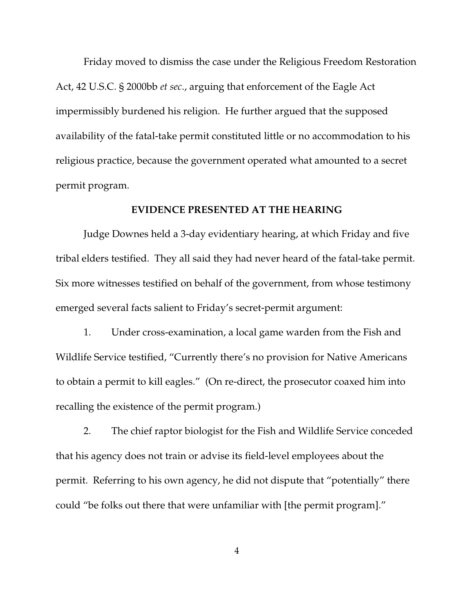Friday moved to dismiss the case under the Religious Freedom Restoration Act, 42 U.S.C. § 2000bb *et sec*., arguing that enforcement of the Eagle Act impermissibly burdened his religion. He further argued that the supposed availability of the fatal-take permit constituted little or no accommodation to his religious practice, because the government operated what amounted to a secret permit program.

## **EVIDENCE PRESENTED AT THE HEARING**

Judge Downes held a 3-day evidentiary hearing, at which Friday and five tribal elders testified. They all said they had never heard of the fatal-take permit. Six more witnesses testified on behalf of the government, from whose testimony emerged several facts salient to Friday's secret-permit argument:

1. Under cross-examination, a local game warden from the Fish and Wildlife Service testified, "Currently there's no provision for Native Americans to obtain a permit to kill eagles." (On re-direct, the prosecutor coaxed him into recalling the existence of the permit program.)

2. The chief raptor biologist for the Fish and Wildlife Service conceded that his agency does not train or advise its field-level employees about the permit. Referring to his own agency, he did not dispute that "potentially" there could "be folks out there that were unfamiliar with [the permit program]."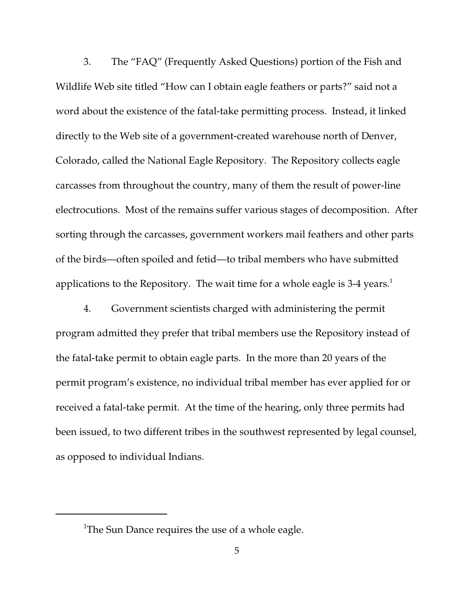3. The "FAQ" (Frequently Asked Questions) portion of the Fish and Wildlife Web site titled "How can I obtain eagle feathers or parts?" said not a word about the existence of the fatal-take permitting process. Instead, it linked directly to the Web site of a government-created warehouse north of Denver, Colorado, called the National Eagle Repository. The Repository collects eagle carcasses from throughout the country, many of them the result of power-line electrocutions. Most of the remains suffer various stages of decomposition. After sorting through the carcasses, government workers mail feathers and other parts of the birds—often spoiled and fetid—to tribal members who have submitted applications to the Repository. The wait time for a whole eagle is 3-4 years.<sup>1</sup>

4. Government scientists charged with administering the permit program admitted they prefer that tribal members use the Repository instead of the fatal-take permit to obtain eagle parts. In the more than 20 years of the permit program's existence, no individual tribal member has ever applied for or received a fatal-take permit. At the time of the hearing, only three permits had been issued, to two different tribes in the southwest represented by legal counsel, as opposed to individual Indians.

<sup>&</sup>lt;sup>1</sup>The Sun Dance requires the use of a whole eagle.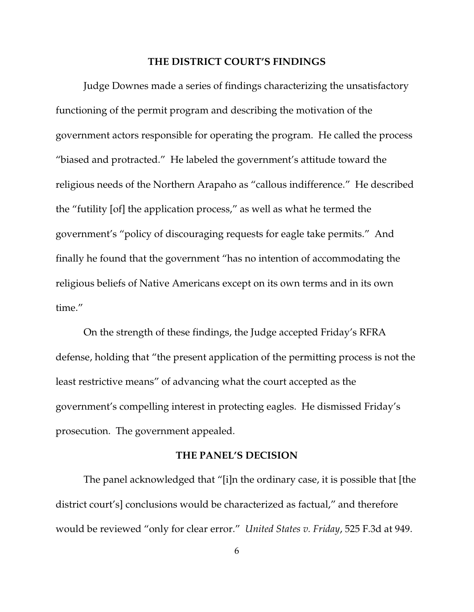#### **THE DISTRICT COURT'S FINDINGS**

Judge Downes made a series of findings characterizing the unsatisfactory functioning of the permit program and describing the motivation of the government actors responsible for operating the program. He called the process "biased and protracted." He labeled the government's attitude toward the religious needs of the Northern Arapaho as "callous indifference." He described the "futility [of] the application process," as well as what he termed the government's "policy of discouraging requests for eagle take permits." And finally he found that the government "has no intention of accommodating the religious beliefs of Native Americans except on its own terms and in its own time."

On the strength of these findings, the Judge accepted Friday's RFRA defense, holding that "the present application of the permitting process is not the least restrictive means" of advancing what the court accepted as the government's compelling interest in protecting eagles. He dismissed Friday's prosecution. The government appealed.

### **THE PANEL'S DECISION**

The panel acknowledged that "[i]n the ordinary case, it is possible that [the district court's] conclusions would be characterized as factual," and therefore would be reviewed "only for clear error." *United States v. Friday*, 525 F.3d at 949.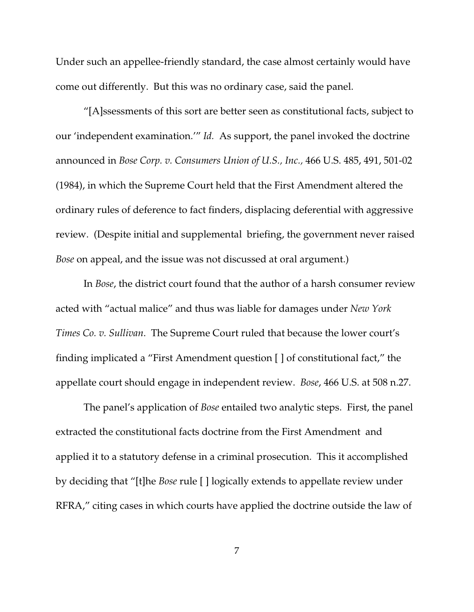Under such an appellee-friendly standard, the case almost certainly would have come out differently. But this was no ordinary case, said the panel.

"[A]ssessments of this sort are better seen as constitutional facts, subject to our 'independent examination.'" *Id.* As support, the panel invoked the doctrine announced in *Bose Corp. v. Consumers Union of U.S., Inc.,* 466 U.S. 485, 491, 501-02 (1984), in which the Supreme Court held that the First Amendment altered the ordinary rules of deference to fact finders, displacing deferential with aggressive review. (Despite initial and supplemental briefing, the government never raised *Bose* on appeal, and the issue was not discussed at oral argument.)

In *Bose*, the district court found that the author of a harsh consumer review acted with "actual malice" and thus was liable for damages under *New York Times Co. v. Sullivan*. The Supreme Court ruled that because the lower court's finding implicated a "First Amendment question [ ] of constitutional fact," the appellate court should engage in independent review. *Bose*, 466 U.S. at 508 n.27.

The panel's application of *Bose* entailed two analytic steps. First, the panel extracted the constitutional facts doctrine from the First Amendment and applied it to a statutory defense in a criminal prosecution. This it accomplished by deciding that "[t]he *Bose* rule [ ] logically extends to appellate review under RFRA," citing cases in which courts have applied the doctrine outside the law of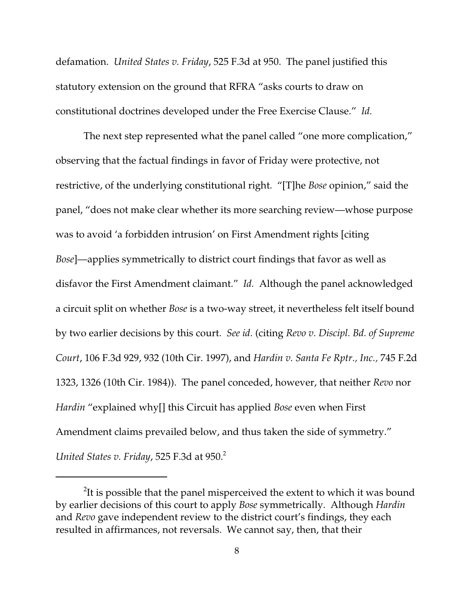defamation. *United States v. Friday*, 525 F.3d at 950. The panel justified this statutory extension on the ground that RFRA "asks courts to draw on constitutional doctrines developed under the Free Exercise Clause." *Id.*

The next step represented what the panel called "one more complication," observing that the factual findings in favor of Friday were protective, not restrictive, of the underlying constitutional right. "[T]he *Bose* opinion," said the panel, "does not make clear whether its more searching review—whose purpose was to avoid 'a forbidden intrusion' on First Amendment rights [citing *Bose*]—applies symmetrically to district court findings that favor as well as disfavor the First Amendment claimant." *Id.* Although the panel acknowledged a circuit split on whether *Bose* is a two-way street, it nevertheless felt itself bound by two earlier decisions by this court. *See id.* (citing *Revo v. Discipl. Bd. of Supreme Court*, 106 F.3d 929, 932 (10th Cir. 1997), and *Hardin v. Santa Fe Rptr., Inc.,* 745 F.2d 1323, 1326 (10th Cir. 1984)). The panel conceded, however, that neither *Revo* nor *Hardin* "explained why[] this Circuit has applied *Bose* even when First Amendment claims prevailed below, and thus taken the side of symmetry." *United States v. Friday*, 525 F.3d at 950. 2

 $2$ It is possible that the panel misperceived the extent to which it was bound by earlier decisions of this court to apply *Bose* symmetrically. Although *Hardin* and *Revo* gave independent review to the district court's findings, they each resulted in affirmances, not reversals. We cannot say, then, that their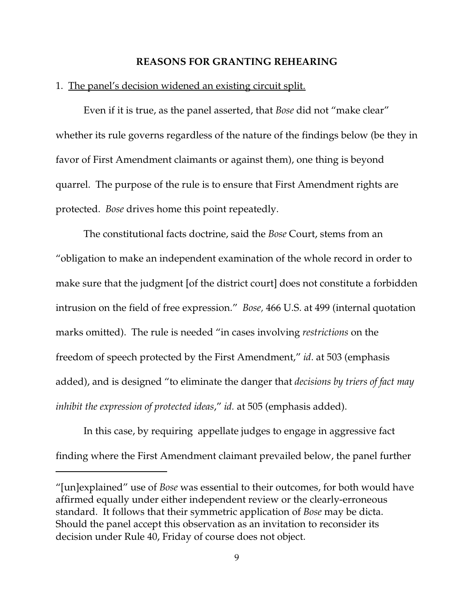#### **REASONS FOR GRANTING REHEARING**

#### 1. The panel's decision widened an existing circuit split.

Even if it is true, as the panel asserted, that *Bose* did not "make clear" whether its rule governs regardless of the nature of the findings below (be they in favor of First Amendment claimants or against them), one thing is beyond quarrel. The purpose of the rule is to ensure that First Amendment rights are protected. *Bose* drives home this point repeatedly.

The constitutional facts doctrine, said the *Bose* Court, stems from an "obligation to make an independent examination of the whole record in order to make sure that the judgment [of the district court] does not constitute a forbidden intrusion on the field of free expression." *Bose,* 466 U.S. at 499 (internal quotation marks omitted). The rule is needed "in cases involving *restrictions* on the freedom of speech protected by the First Amendment," *id*. at 503 (emphasis added), and is designed "to eliminate the danger that *decisions by triers of fact may inhibit the expression of protected ideas*," *id.* at 505 (emphasis added).

In this case, by requiring appellate judges to engage in aggressive fact finding where the First Amendment claimant prevailed below, the panel further

<sup>&</sup>quot;[un]explained" use of *Bose* was essential to their outcomes, for both would have affirmed equally under either independent review or the clearly-erroneous standard. It follows that their symmetric application of *Bose* may be dicta. Should the panel accept this observation as an invitation to reconsider its decision under Rule 40, Friday of course does not object.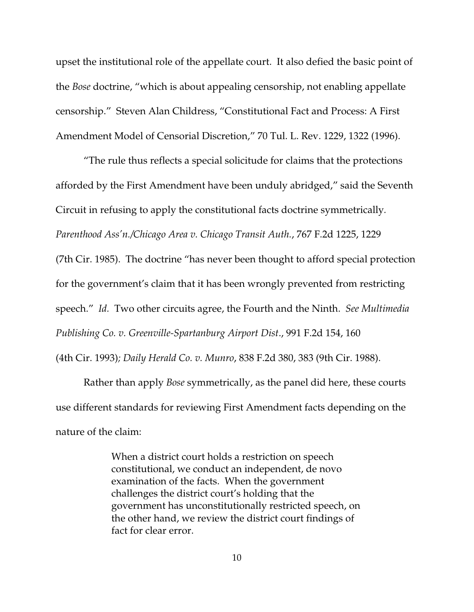upset the institutional role of the appellate court. It also defied the basic point of the *Bose* doctrine, "which is about appealing censorship, not enabling appellate censorship." Steven Alan Childress, "Constitutional Fact and Process: A First Amendment Model of Censorial Discretion," 70 Tul. L. Rev. 1229, 1322 (1996).

"The rule thus reflects a special solicitude for claims that the protections afforded by the First Amendment have been unduly abridged," said the Seventh Circuit in refusing to apply the constitutional facts doctrine symmetrically*. Parenthood Ass'n./Chicago Area v. Chicago Transit Auth.*, 767 F.2d 1225, 1229

(7th Cir. 1985). The doctrine "has never been thought to afford special protection for the government's claim that it has been wrongly prevented from restricting speech." *Id.* Two other circuits agree, the Fourth and the Ninth. *See Multimedia Publishing Co. v. Greenville-Spartanburg Airport Dist*., 991 F.2d 154, 160 (4th Cir. 1993)*; Daily Herald Co. v. Munro*, 838 F.2d 380, 383 (9th Cir. 1988).

Rather than apply *Bose* symmetrically, as the panel did here, these courts use different standards for reviewing First Amendment facts depending on the nature of the claim:

> When a district court holds a restriction on speech constitutional, we conduct an independent, de novo examination of the facts. When the government challenges the district court's holding that the government has unconstitutionally restricted speech, on the other hand, we review the district court findings of fact for clear error.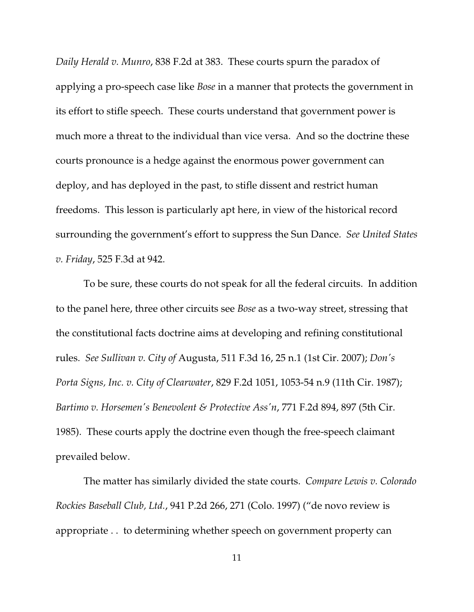*Daily Herald v. Munro*, 838 F.2d at 383. These courts spurn the paradox of applying a pro-speech case like *Bose* in a manner that protects the government in its effort to stifle speech. These courts understand that government power is much more a threat to the individual than vice versa. And so the doctrine these courts pronounce is a hedge against the enormous power government can deploy, and has deployed in the past, to stifle dissent and restrict human freedoms. This lesson is particularly apt here, in view of the historical record surrounding the government's effort to suppress the Sun Dance. *See United States v. Friday*, 525 F.3d at 942.

To be sure, these courts do not speak for all the federal circuits. In addition to the panel here, three other circuits see *Bose* as a two-way street, stressing that the constitutional facts doctrine aims at developing and refining constitutional rules. *See Sullivan v. City of* Augusta, 511 F.3d 16, 25 n.1 (1st Cir. 2007); *Don's Porta Signs, Inc. v. City of Clearwater*, 829 F.2d 1051, 1053-54 n.9 (11th Cir. 1987); *Bartimo v. Horsemen's Benevolent & Protective Ass'n*, 771 F.2d 894, 897 (5th Cir. 1985). These courts apply the doctrine even though the free-speech claimant prevailed below.

The matter has similarly divided the state courts. *Compare Lewis v. Colorado Rockies Baseball Club, Ltd.*, 941 P.2d 266, 271 (Colo. 1997) ("de novo review is appropriate . . to determining whether speech on government property can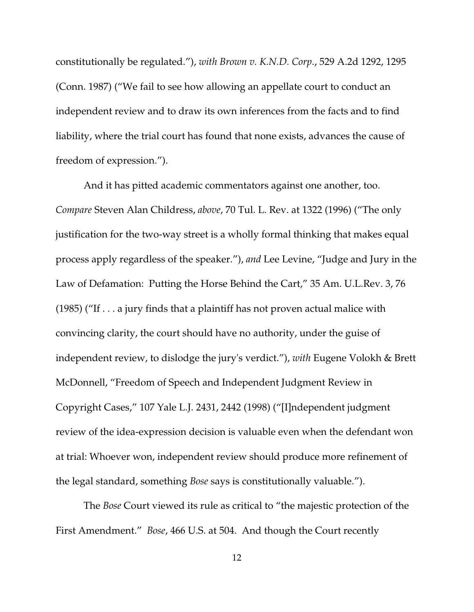constitutionally be regulated."), *with Brown v. K.N.D. Corp*., 529 A.2d 1292, 1295 (Conn. 1987) ("We fail to see how allowing an appellate court to conduct an independent review and to draw its own inferences from the facts and to find liability, where the trial court has found that none exists, advances the cause of freedom of expression.").

And it has pitted academic commentators against one another, too. *Compare* Steven Alan Childress, *above*, 70 Tul. L. Rev. at 1322 (1996) ("The only justification for the two-way street is a wholly formal thinking that makes equal process apply regardless of the speaker."), *and* Lee Levine, "Judge and Jury in the Law of Defamation: Putting the Horse Behind the Cart," 35 Am. U.L.Rev. 3, 76 (1985) ("If  $\dots$  a jury finds that a plaintiff has not proven actual malice with convincing clarity, the court should have no authority, under the guise of independent review, to dislodge the jury's verdict."), *with* Eugene Volokh & Brett McDonnell, "Freedom of Speech and Independent Judgment Review in Copyright Cases," 107 Yale L.J. 2431, 2442 (1998) ("[I]ndependent judgment review of the idea-expression decision is valuable even when the defendant won at trial: Whoever won, independent review should produce more refinement of the legal standard, something *Bose* says is constitutionally valuable.").

The *Bose* Court viewed its rule as critical to "the majestic protection of the First Amendment." *Bose*, 466 U.S. at 504. And though the Court recently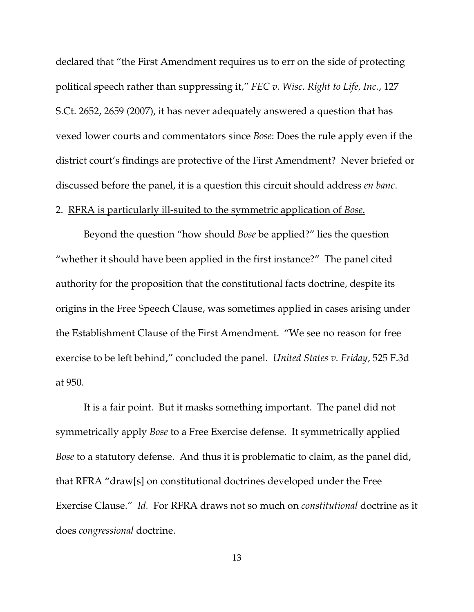declared that "the First Amendment requires us to err on the side of protecting political speech rather than suppressing it," *FEC v. Wisc. Right to Life, Inc.*, 127 S.Ct. 2652, 2659 (2007), it has never adequately answered a question that has vexed lower courts and commentators since *Bose*: Does the rule apply even if the district court's findings are protective of the First Amendment? Never briefed or discussed before the panel, it is a question this circuit should address *en banc*.

#### 2. RFRA is particularly ill-suited to the symmetric application of *Bose*.

Beyond the question "how should *Bose* be applied?" lies the question "whether it should have been applied in the first instance?" The panel cited authority for the proposition that the constitutional facts doctrine, despite its origins in the Free Speech Clause, was sometimes applied in cases arising under the Establishment Clause of the First Amendment. "We see no reason for free exercise to be left behind," concluded the panel. *United States v. Friday*, 525 F.3d at 950.

It is a fair point. But it masks something important. The panel did not symmetrically apply *Bose* to a Free Exercise defense. It symmetrically applied *Bose* to a statutory defense. And thus it is problematic to claim, as the panel did, that RFRA "draw[s] on constitutional doctrines developed under the Free Exercise Clause." *Id.* For RFRA draws not so much on *constitutional* doctrine as it does *congressional* doctrine.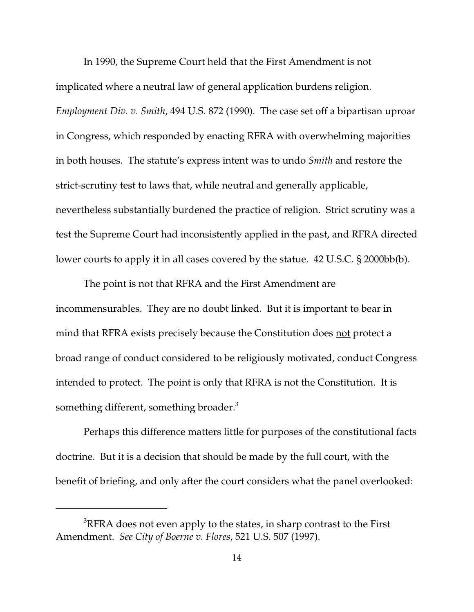In 1990, the Supreme Court held that the First Amendment is not implicated where a neutral law of general application burdens religion. *Employment Div. v. Smith*, 494 U.S. 872 (1990). The case set off a bipartisan uproar in Congress, which responded by enacting RFRA with overwhelming majorities in both houses. The statute's express intent was to undo *Smith* and restore the strict-scrutiny test to laws that, while neutral and generally applicable, nevertheless substantially burdened the practice of religion. Strict scrutiny was a test the Supreme Court had inconsistently applied in the past, and RFRA directed lower courts to apply it in all cases covered by the statue. 42 U.S.C. § 2000bb(b).

The point is not that RFRA and the First Amendment are incommensurables. They are no doubt linked. But it is important to bear in mind that RFRA exists precisely because the Constitution does not protect a broad range of conduct considered to be religiously motivated, conduct Congress intended to protect. The point is only that RFRA is not the Constitution. It is something different, something broader.<sup>3</sup>

Perhaps this difference matters little for purposes of the constitutional facts doctrine. But it is a decision that should be made by the full court, with the benefit of briefing, and only after the court considers what the panel overlooked:

<sup>&</sup>lt;sup>3</sup>RFRA does not even apply to the states, in sharp contrast to the First Amendment. *See City of Boerne v. Flores*, 521 U.S. 507 (1997).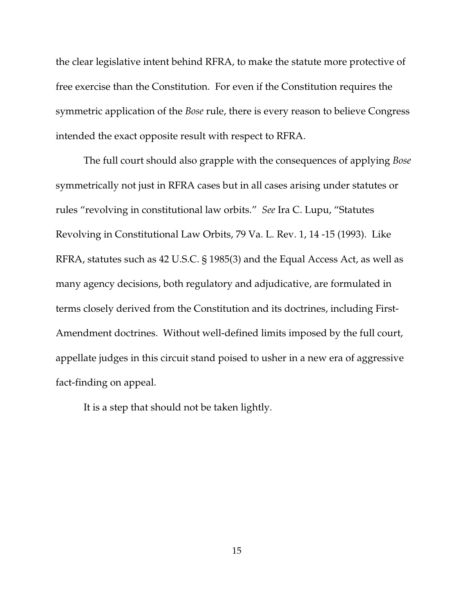the clear legislative intent behind RFRA, to make the statute more protective of free exercise than the Constitution. For even if the Constitution requires the symmetric application of the *Bose* rule, there is every reason to believe Congress intended the exact opposite result with respect to RFRA.

The full court should also grapple with the consequences of applying *Bose* symmetrically not just in RFRA cases but in all cases arising under statutes or rules "revolving in constitutional law orbits." *See* Ira C. Lupu, "Statutes Revolving in Constitutional Law Orbits, 79 Va. L. Rev. 1, 14 -15 (1993). Like RFRA, statutes such as 42 U.S.C. § 1985(3) and the Equal Access Act, as well as many agency decisions, both regulatory and adjudicative, are formulated in terms closely derived from the Constitution and its doctrines, including First-Amendment doctrines. Without well-defined limits imposed by the full court, appellate judges in this circuit stand poised to usher in a new era of aggressive fact-finding on appeal.

It is a step that should not be taken lightly.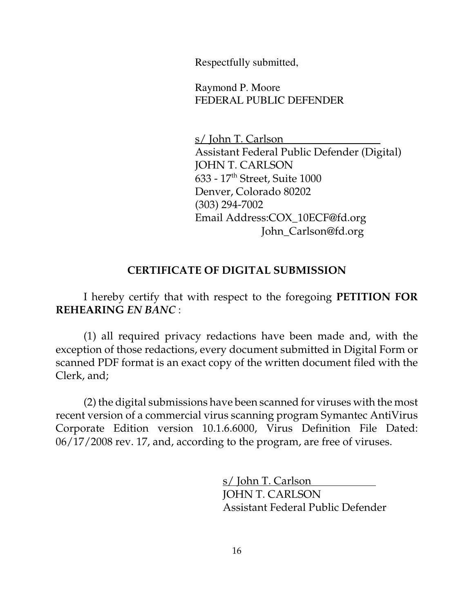Respectfully submitted,

Raymond P. Moore FEDERAL PUBLIC DEFENDER

s/ John T. Carlson Assistant Federal Public Defender (Digital) JOHN T. CARLSON 633 - 17 th Street, Suite 1000 Denver, Colorado 80202 (303) 294-7002 Email Address:COX\_10ECF@fd.org John\_Carlson@fd.org

# **CERTIFICATE OF DIGITAL SUBMISSION**

I hereby certify that with respect to the foregoing **PETITION FOR REHEARING** *EN BANC* :

(1) all required privacy redactions have been made and, with the exception of those redactions, every document submitted in Digital Form or scanned PDF format is an exact copy of the written document filed with the Clerk, and;

(2) the digital submissions have been scanned for viruses with the most recent version of a commercial virus scanning program Symantec AntiVirus Corporate Edition version 10.1.6.6000, Virus Definition File Dated: 06/17/2008 rev. 17, and, according to the program, are free of viruses.

> s/ John T. Carlson JOHN T. CARLSON Assistant Federal Public Defender